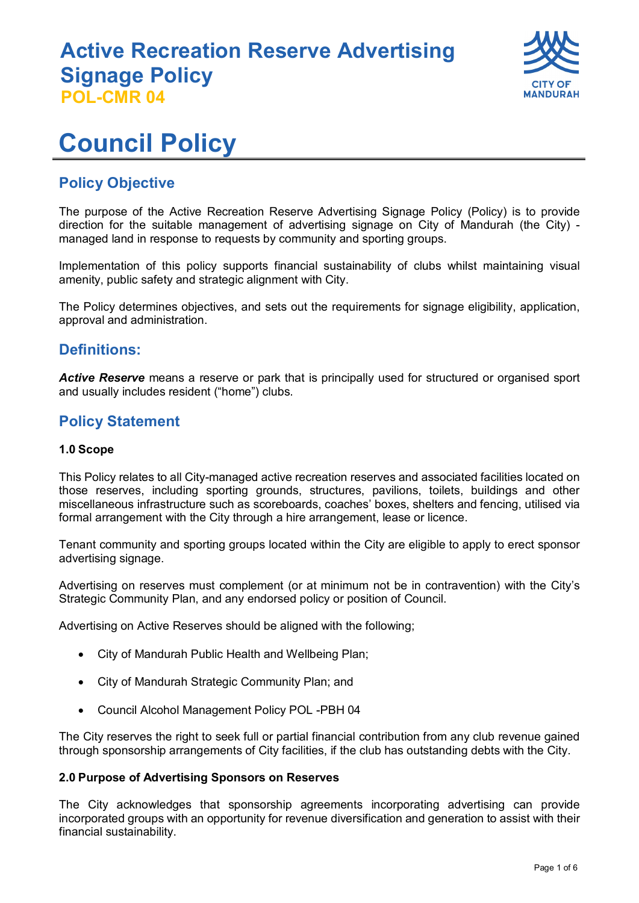

# **Council Policy**

### **Policy Objective**

The purpose of the Active Recreation Reserve Advertising Signage Policy (Policy) is to provide direction for the suitable management of advertising signage on City of Mandurah (the City) managed land in response to requests by community and sporting groups.

Implementation of this policy supports financial sustainability of clubs whilst maintaining visual amenity, public safety and strategic alignment with City.

The Policy determines objectives, and sets out the requirements for signage eligibility, application, approval and administration.

### **Definitions:**

*Active Reserve* means a reserve or park that is principally used for structured or organised sport and usually includes resident ("home") clubs.

### **Policy Statement**

#### **1.0 Scope**

This Policy relates to all City-managed active recreation reserves and associated facilities located on those reserves, including sporting grounds, structures, pavilions, toilets, buildings and other miscellaneous infrastructure such as scoreboards, coaches' boxes, shelters and fencing, utilised via formal arrangement with the City through a hire arrangement, lease or licence.

Tenant community and sporting groups located within the City are eligible to apply to erect sponsor advertising signage.

Advertising on reserves must complement (or at minimum not be in contravention) with the City's Strategic Community Plan, and any endorsed policy or position of Council.

Advertising on Active Reserves should be aligned with the following;

- City of Mandurah Public Health and Wellbeing Plan;
- City of Mandurah Strategic Community Plan; and
- Council Alcohol Management Policy POL -PBH 04

The City reserves the right to seek full or partial financial contribution from any club revenue gained through sponsorship arrangements of City facilities, if the club has outstanding debts with the City.

#### **2.0 Purpose of Advertising Sponsors on Reserves**

The City acknowledges that sponsorship agreements incorporating advertising can provide incorporated groups with an opportunity for revenue diversification and generation to assist with their financial sustainability.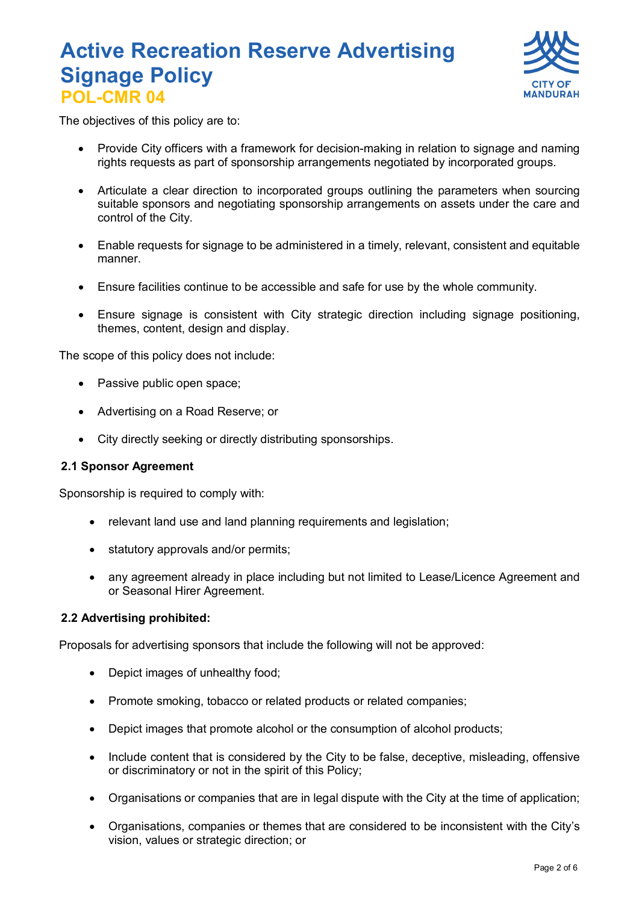

The objectives of this policy are to:

- Provide City officers with a framework for decision-making in relation to signage and naming rights requests as part of sponsorship arrangements negotiated by incorporated groups.
- Articulate a clear direction to incorporated groups outlining the parameters when sourcing suitable sponsors and negotiating sponsorship arrangements on assets under the care and control of the City.
- Enable requests for signage to be administered in a timely, relevant, consistent and equitable manner.
- Ensure facilities continue to be accessible and safe for use by the whole community.
- Ensure signage is consistent with City strategic direction including signage positioning, themes, content, design and display.

The scope of this policy does not include:

- Passive public open space;
- Advertising on a Road Reserve; or
- City directly seeking or directly distributing sponsorships.

#### **2.1 Sponsor Agreement**

Sponsorship is required to comply with:

- relevant land use and land planning requirements and legislation;
- statutory approvals and/or permits;
- any agreement already in place including but not limited to Lease/Licence Agreement and or Seasonal Hirer Agreement.

#### **2.2 Advertising prohibited:**

Proposals for advertising sponsors that include the following will not be approved:

- Depict images of unhealthy food;
- Promote smoking, tobacco or related products or related companies;
- Depict images that promote alcohol or the consumption of alcohol products;
- Include content that is considered by the City to be false, deceptive, misleading, offensive or discriminatory or not in the spirit of this Policy;
- Organisations or companies that are in legal dispute with the City at the time of application;
- Organisations, companies or themes that are considered to be inconsistent with the City's vision, values or strategic direction; or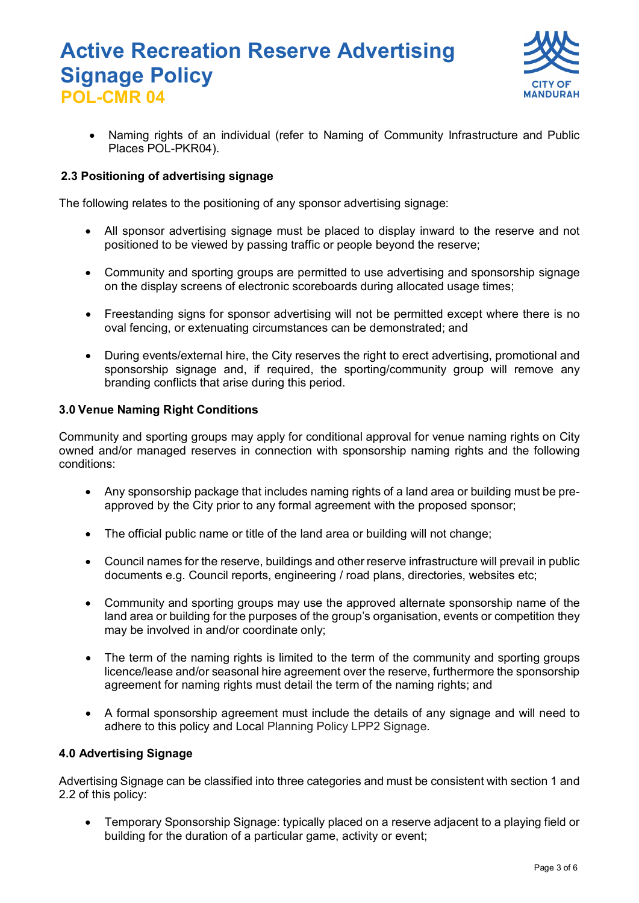

• Naming rights of an individual (refer to Naming of Community Infrastructure and Public Places POL-PKR04).

#### **2.3 Positioning of advertising signage**

The following relates to the positioning of any sponsor advertising signage:

- All sponsor advertising signage must be placed to display inward to the reserve and not positioned to be viewed by passing traffic or people beyond the reserve;
- Community and sporting groups are permitted to use advertising and sponsorship signage on the display screens of electronic scoreboards during allocated usage times;
- Freestanding signs for sponsor advertising will not be permitted except where there is no oval fencing, or extenuating circumstances can be demonstrated; and
- During events/external hire, the City reserves the right to erect advertising, promotional and sponsorship signage and, if required, the sporting/community group will remove any branding conflicts that arise during this period.

#### **3.0 Venue Naming Right Conditions**

Community and sporting groups may apply for conditional approval for venue naming rights on City owned and/or managed reserves in connection with sponsorship naming rights and the following conditions:

- Any sponsorship package that includes naming rights of a land area or building must be preapproved by the City prior to any formal agreement with the proposed sponsor;
- The official public name or title of the land area or building will not change;
- Council names for the reserve, buildings and other reserve infrastructure will prevail in public documents e.g. Council reports, engineering / road plans, directories, websites etc;
- Community and sporting groups may use the approved alternate sponsorship name of the land area or building for the purposes of the group's organisation, events or competition they may be involved in and/or coordinate only;
- The term of the naming rights is limited to the term of the community and sporting groups licence/lease and/or seasonal hire agreement over the reserve, furthermore the sponsorship agreement for naming rights must detail the term of the naming rights; and
- A formal sponsorship agreement must include the details of any signage and will need to adhere to this policy and Local Planning Policy LPP2 Signage*.*

#### **4.0 Advertising Signage**

Advertising Signage can be classified into three categories and must be consistent with section 1 and 2.2 of this policy:

• Temporary Sponsorship Signage: typically placed on a reserve adjacent to a playing field or building for the duration of a particular game, activity or event;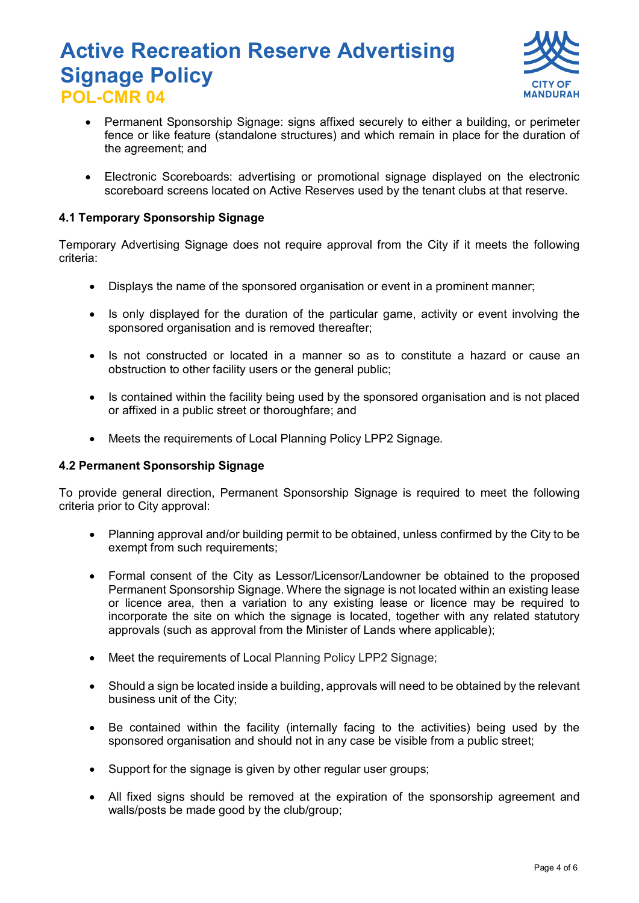

- Permanent Sponsorship Signage: signs affixed securely to either a building, or perimeter fence or like feature (standalone structures) and which remain in place for the duration of the agreement; and
- Electronic Scoreboards: advertising or promotional signage displayed on the electronic scoreboard screens located on Active Reserves used by the tenant clubs at that reserve.

#### **4.1 Temporary Sponsorship Signage**

Temporary Advertising Signage does not require approval from the City if it meets the following criteria:

- Displays the name of the sponsored organisation or event in a prominent manner;
- Is only displayed for the duration of the particular game, activity or event involving the sponsored organisation and is removed thereafter;
- Is not constructed or located in a manner so as to constitute a hazard or cause an obstruction to other facility users or the general public;
- Is contained within the facility being used by the sponsored organisation and is not placed or affixed in a public street or thoroughfare; and
- Meets the requirements of Local Planning Policy LPP2 Signage*.*

#### **4.2 Permanent Sponsorship Signage**

To provide general direction, Permanent Sponsorship Signage is required to meet the following criteria prior to City approval:

- Planning approval and/or building permit to be obtained, unless confirmed by the City to be exempt from such requirements:
- Formal consent of the City as Lessor/Licensor/Landowner be obtained to the proposed Permanent Sponsorship Signage. Where the signage is not located within an existing lease or licence area, then a variation to any existing lease or licence may be required to incorporate the site on which the signage is located, together with any related statutory approvals (such as approval from the Minister of Lands where applicable);
- Meet the requirements of Local Planning Policy LPP2 Signage:
- Should a sign be located inside a building, approvals will need to be obtained by the relevant business unit of the City;
- Be contained within the facility (internally facing to the activities) being used by the sponsored organisation and should not in any case be visible from a public street;
- Support for the signage is given by other regular user groups:
- All fixed signs should be removed at the expiration of the sponsorship agreement and walls/posts be made good by the club/group;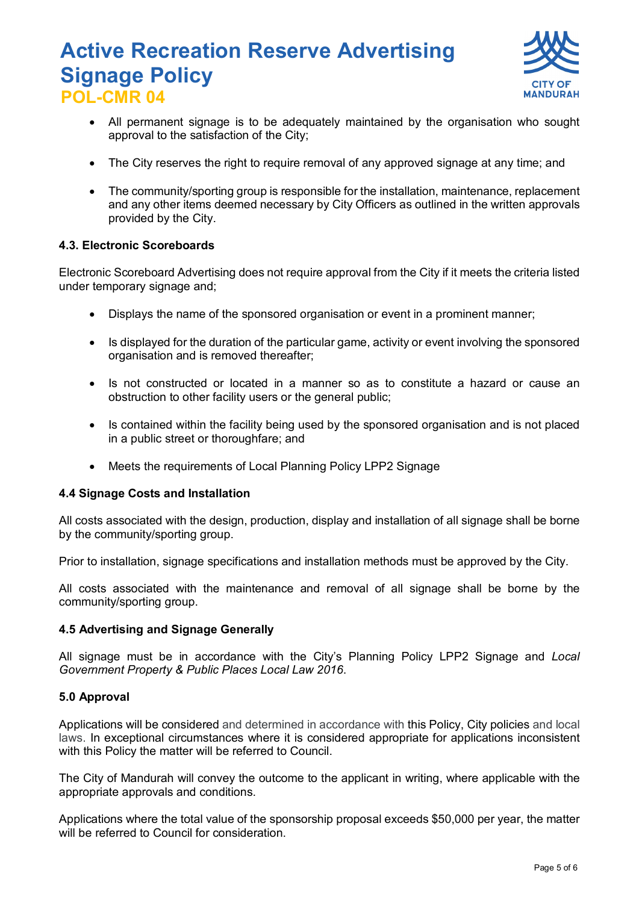

- All permanent signage is to be adequately maintained by the organisation who sought approval to the satisfaction of the City;
- The City reserves the right to require removal of any approved signage at any time; and
- The community/sporting group is responsible for the installation, maintenance, replacement and any other items deemed necessary by City Officers as outlined in the written approvals provided by the City.

#### **4.3. Electronic Scoreboards**

Electronic Scoreboard Advertising does not require approval from the City if it meets the criteria listed under temporary signage and;

- Displays the name of the sponsored organisation or event in a prominent manner;
- Is displayed for the duration of the particular game, activity or event involving the sponsored organisation and is removed thereafter;
- Is not constructed or located in a manner so as to constitute a hazard or cause an obstruction to other facility users or the general public;
- Is contained within the facility being used by the sponsored organisation and is not placed in a public street or thoroughfare; and
- Meets the requirements of Local Planning Policy LPP2 Signage

#### **4.4 Signage Costs and Installation**

All costs associated with the design, production, display and installation of all signage shall be borne by the community/sporting group.

Prior to installation, signage specifications and installation methods must be approved by the City.

All costs associated with the maintenance and removal of all signage shall be borne by the community/sporting group.

#### **4.5 Advertising and Signage Generally**

All signage must be in accordance with the City's Planning Policy LPP2 Signage and *Local Government Property & Public Places Local Law 2016*.

#### **5.0 Approval**

Applications will be considered and determined in accordance with this Policy, City policies and local laws. In exceptional circumstances where it is considered appropriate for applications inconsistent with this Policy the matter will be referred to Council.

The City of Mandurah will convey the outcome to the applicant in writing, where applicable with the appropriate approvals and conditions.

Applications where the total value of the sponsorship proposal exceeds \$50,000 per year, the matter will be referred to Council for consideration.